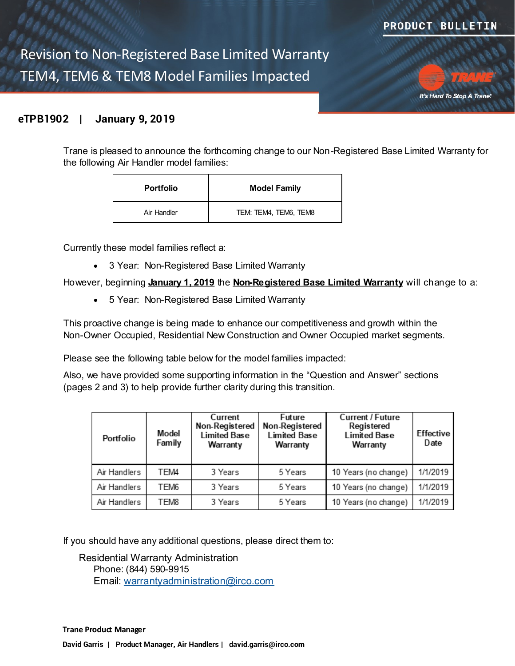Revision to Non-Registered Base Limited Warranty TEM4, TEM6 & TEM8 Model Families Impacted



## **eTPB1902 | January 9, 2019**

Trane is pleased to announce the forthcoming change to our Non-Registered Base Limited Warranty for the following Air Handler model families:

| <b>Portfolio</b> | <b>Model Family</b>   |  |
|------------------|-----------------------|--|
| Air Handler      | TEM: TEM4, TEM6, TEM8 |  |

Currently these model families reflect a:

3 Year: Non-Registered Base Limited Warranty

However, beginning **January 1, 2019** the **Non-Registered Base Limited Warranty** will change to a:

5 Year: Non-Registered Base Limited Warranty

This proactive change is being made to enhance our competitiveness and growth within the Non-Owner Occupied, Residential New Construction and Owner Occupied market segments.

Please see the following table below for the model families impacted:

Also, we have provided some supporting information in the "Question and Answer" sections (pages 2 and 3) to help provide further clarity during this transition.

| Portfolio    | Model<br>Family  | Current<br>Non-Registered<br><b>Limited Base</b><br>Warranty | Future<br>Non-Registered<br><b>Limited Base</b><br>Warranty | <b>Current / Future</b><br>Registered<br><b>Limited Base</b><br>Warranty | Effective<br>Date |
|--------------|------------------|--------------------------------------------------------------|-------------------------------------------------------------|--------------------------------------------------------------------------|-------------------|
| Air Handlers | TEM4             | 3 Years                                                      | 5 Years                                                     | 10 Years (no change)                                                     | 1/1/2019          |
| Air Handlers | TEM <sub>6</sub> | 3 Years                                                      | 5 Years                                                     | 10 Years (no change)                                                     | 1/1/2019          |
| Air Handlers | TEM8             | 3 Years                                                      | 5 Years                                                     | 10 Years (no change)                                                     | 1/1/2019          |

If you should have any additional questions, please direct them to:

Residential Warranty Administration Phone: (844) 590-9915 Email: [warrantyadministration@irco.com](mailto:warrantyadministration@irco.com)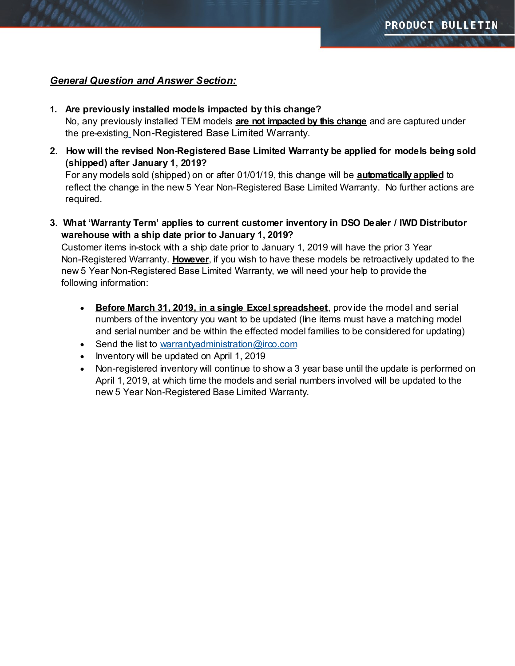## *General Question and Answer Section:*

- **1. Are previously installed models impacted by this change?** No, any previously installed TEM models **are not impacted by this change** and are captured under the pre-existing Non-Registered Base Limited Warranty.
- **2. How will the revised Non-Registered Base Limited Warranty be applied for models being sold (shipped) after January 1, 2019?** For any models sold (shipped) on or after 01/01/19, this change will be **automatically applied** to

reflect the change in the new 5 Year Non-Registered Base Limited Warranty. No further actions are required.

**3. What 'Warranty Term' applies to current customer inventory in DSO Dealer / IWD Distributor warehouse with a ship date prior to January 1, 2019?**

Customer items in-stock with a ship date prior to January 1, 2019 will have the prior 3 Year Non-Registered Warranty. **However**, if you wish to have these models be retroactively updated to the new 5 Year Non-Registered Base Limited Warranty, we will need your help to provide the following information:

- **Before March 31, 2019, in a single Excel spreadsheet**, prov ide the model and serial numbers of the inventory you want to be updated (line items must have a matching model and serial number and be within the effected model families to be considered for updating)
- Send the list to [warrantyadministration@irco.com](mailto:warrantyadministration@irco.com)
- Inventory will be updated on April 1, 2019
- Non-registered inventory will continue to show a 3 year base until the update is performed on April 1, 2019, at which time the models and serial numbers involved will be updated to the new 5 Year Non-Registered Base Limited Warranty.